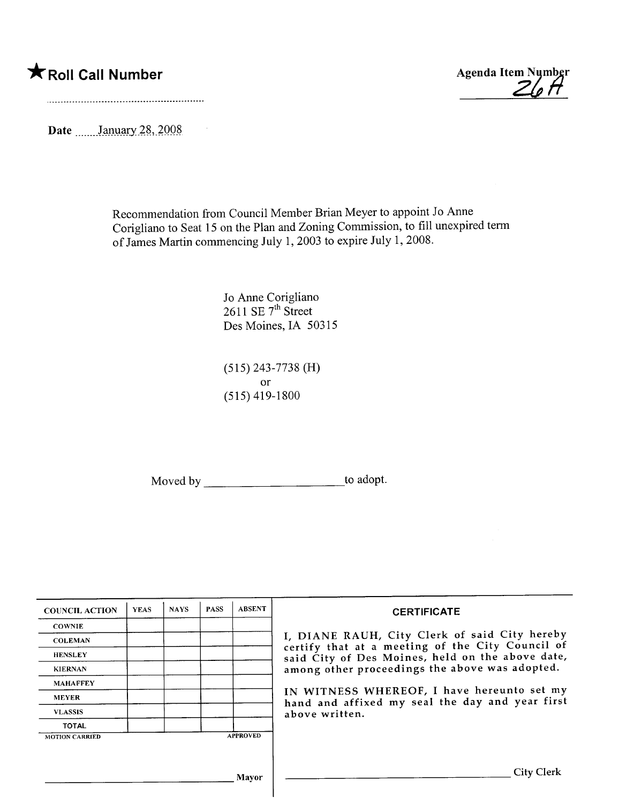$\sim$ 

\*Roll Call Number Agenda Item Number<br>
20 A

Date  $\frac{\text{January } 28, 2008}{\text{January } 28, 2008}$ 

Recommendation from Council Member Brian Meyer to appoint JoAnne Corigliano to Seat 15 on the Plan and Zoning Commission, to fill unexpired term of James Martin commencing July 1, 2003 to expire July 1, 2008.

> Jo Anne Corigliano  $2611$  SE  $7<sup>m</sup>$  Street Des Moines, IA 50315

(515) 243-7738 (H) or (515) 419-1800

Moved by \_\_\_\_\_\_\_\_\_\_\_\_\_\_\_\_\_\_\_\_\_\_\_\_\_\_\_\_\_\_to adopt.

| <b>COUNCIL ACTION</b> | <b>YEAS</b> | <b>NAYS</b> | <b>PASS</b> | <b>ABSENT</b>   | <b>CERTIFICATE</b>                                                                                              |  |  |  |  |
|-----------------------|-------------|-------------|-------------|-----------------|-----------------------------------------------------------------------------------------------------------------|--|--|--|--|
| <b>COWNIE</b>         |             |             |             |                 |                                                                                                                 |  |  |  |  |
| <b>COLEMAN</b>        |             |             |             |                 | I, DIANE RAUH, City Clerk of said City hereby<br>certify that at a meeting of the City Council of               |  |  |  |  |
| <b>HENSLEY</b>        |             |             |             |                 | said City of Des Moines, held on the above date,<br>among other proceedings the above was adopted.              |  |  |  |  |
| <b>KIERNAN</b>        |             |             |             |                 |                                                                                                                 |  |  |  |  |
| <b>MAHAFFEY</b>       |             |             |             |                 | IN WITNESS WHEREOF, I have hereunto set my<br>hand and affixed my seal the day and year first<br>above written. |  |  |  |  |
| <b>MEYER</b>          |             |             |             |                 |                                                                                                                 |  |  |  |  |
| <b>VLASSIS</b>        |             |             |             |                 |                                                                                                                 |  |  |  |  |
| <b>TOTAL</b>          |             |             |             |                 |                                                                                                                 |  |  |  |  |
| <b>MOTION CARRIED</b> |             |             |             | <b>APPROVED</b> |                                                                                                                 |  |  |  |  |
|                       |             |             |             |                 |                                                                                                                 |  |  |  |  |
|                       |             |             |             | Mayor           | <b>City Clerk</b>                                                                                               |  |  |  |  |